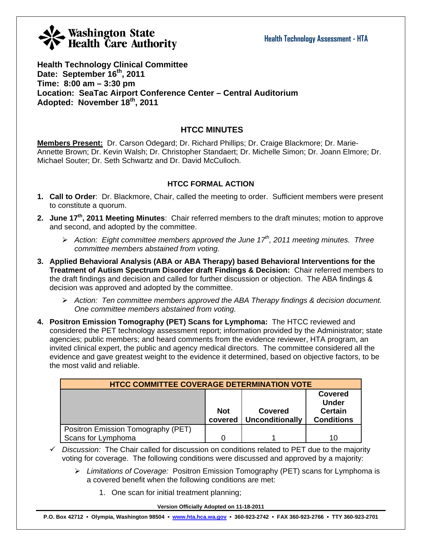**Health Technology Clinical Committee**  Date: September 16<sup>th</sup>, 2011 **Time: 8:00 am – 3:30 pm Location: SeaTac Airport Conference Center – Central Auditorium Adopted: November 18th, 2011** 

## **HTCC MINUTES**

**Members Present:** Dr. Carson Odegard; Dr. Richard Phillips; Dr. Craige Blackmore; Dr. Marie-Annette Brown; Dr. Kevin Walsh; Dr. Christopher Standaert; Dr. Michelle Simon; Dr. Joann Elmore; Dr. Michael Souter; Dr. Seth Schwartz and Dr. David McCulloch.

### **HTCC FORMAL ACTION**

- **1. Call to Order**: Dr. Blackmore, Chair, called the meeting to order. Sufficient members were present to constitute a quorum.
- **2. June 17th, 2011 Meeting Minutes**: Chair referred members to the draft minutes; motion to approve and second, and adopted by the committee.
	- ¾ *Action: Eight committee members approved the June 17th, 2011 meeting minutes. Three committee members abstained from voting.*
- **3. Applied Behavioral Analysis (ABA or ABA Therapy) based Behavioral Interventions for the Treatment of Autism Spectrum Disorder draft Findings & Decision:** Chair referred members to the draft findings and decision and called for further discussion or objection. The ABA findings & decision was approved and adopted by the committee.
	- ¾ *Action: Ten committee members approved the ABA Therapy findings & decision document. One committee members abstained from voting.*
- **4. Positron Emission Tomography (PET) Scans for Lymphoma:** The HTCC reviewed and considered the PET technology assessment report; information provided by the Administrator; state agencies; public members; and heard comments from the evidence reviewer, HTA program, an invited clinical expert, the public and agency medical directors. The committee considered all the evidence and gave greatest weight to the evidence it determined, based on objective factors, to be the most valid and reliable.

| <b>HTCC COMMITTEE COVERAGE DETERMINATION VOTE</b>        |                       |                                   |                                                                |  |
|----------------------------------------------------------|-----------------------|-----------------------------------|----------------------------------------------------------------|--|
|                                                          | <b>Not</b><br>covered | Covered<br><b>Unconditionally</b> | Covered<br><b>Under</b><br><b>Certain</b><br><b>Conditions</b> |  |
| Positron Emission Tomography (PET)<br>Scans for Lymphoma |                       |                                   | 10                                                             |  |

 $\checkmark$  Discussion: The Chair called for discussion on conditions related to PET due to the majority voting for coverage. The following conditions were discussed and approved by a majority:

- ¾ *Limitations of Coverage:* Positron Emission Tomography (PET) scans for Lymphoma is a covered benefit when the following conditions are met:
	- 1. One scan for initial treatment planning;

**Version Officially Adopted on 11-18-2011** 

**P.O. Box 42712 • Olympia, Washington 98504 • www.hta.hca.wa.gov • 360-923-2742 • FAX 360-923-2766 • TTY 360-923-2701**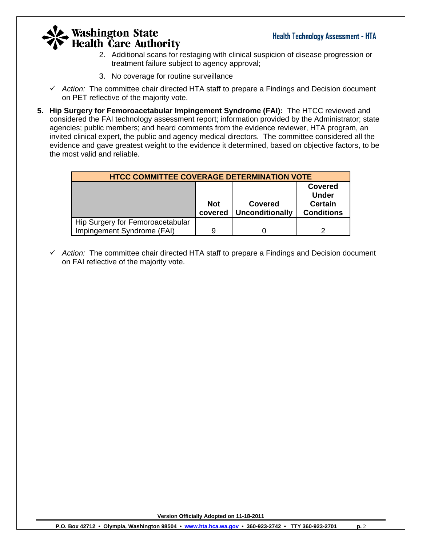- 2. Additional scans for restaging with clinical suspicion of disease progression or treatment failure subject to agency approval;
- 3. No coverage for routine surveillance
- $\checkmark$  Action: The committee chair directed HTA staff to prepare a Findings and Decision document on PET reflective of the majority vote.
- **5. Hip Surgery for Femoroacetabular Impingement Syndrome (FAI):** The HTCC reviewed and considered the FAI technology assessment report; information provided by the Administrator; state agencies; public members; and heard comments from the evidence reviewer, HTA program, an invited clinical expert, the public and agency medical directors. The committee considered all the evidence and gave greatest weight to the evidence it determined, based on objective factors, to be the most valid and reliable.

| <b>HTCC COMMITTEE COVERAGE DETERMINATION VOTE</b> |                       |                                          |                                                                |  |  |
|---------------------------------------------------|-----------------------|------------------------------------------|----------------------------------------------------------------|--|--|
|                                                   | <b>Not</b><br>covered | <b>Covered</b><br><b>Unconditionally</b> | Covered<br><b>Under</b><br><b>Certain</b><br><b>Conditions</b> |  |  |
| Hip Surgery for Femoroacetabular                  |                       |                                          |                                                                |  |  |
| Impingement Syndrome (FAI)                        | 9                     |                                          | າ                                                              |  |  |

 $\checkmark$  Action: The committee chair directed HTA staff to prepare a Findings and Decision document on FAI reflective of the majority vote.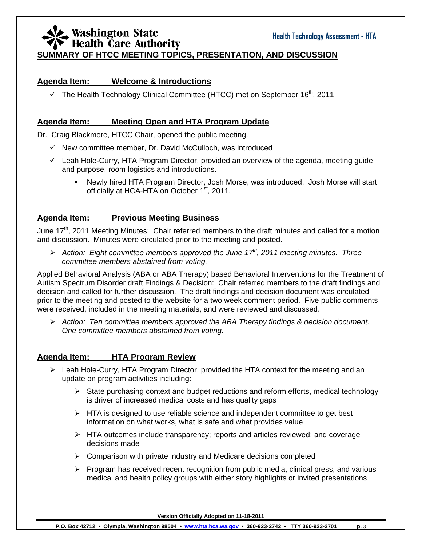## **SUMMARY OF HTCC MEETING TOPICS, PRESENTATION, AND DISCUSSION**

### **Agenda Item: Welcome & Introductions**

 $\checkmark$  The Health Technology Clinical Committee (HTCC) met on September 16<sup>th</sup>, 2011

### **Agenda Item: Meeting Open and HTA Program Update**

Dr. Craig Blackmore, HTCC Chair, opened the public meeting.

- $\checkmark$  New committee member, Dr. David McCulloch, was introduced
- $\checkmark$  Leah Hole-Curry, HTA Program Director, provided an overview of the agenda, meeting guide and purpose, room logistics and introductions.
	- Newly hired HTA Program Director, Josh Morse, was introduced. Josh Morse will start officially at HCA-HTA on October 1<sup>st</sup>, 2011.

## **Agenda Item: Previous Meeting Business**

June 17<sup>th</sup>, 2011 Meeting Minutes: Chair referred members to the draft minutes and called for a motion and discussion. Minutes were circulated prior to the meeting and posted.

¾ *Action: Eight committee members approved the June 17th, 2011 meeting minutes. Three committee members abstained from voting.* 

Applied Behavioral Analysis (ABA or ABA Therapy) based Behavioral Interventions for the Treatment of Autism Spectrum Disorder draft Findings & Decision: Chair referred members to the draft findings and decision and called for further discussion. The draft findings and decision document was circulated prior to the meeting and posted to the website for a two week comment period. Five public comments were received, included in the meeting materials, and were reviewed and discussed.

¾ *Action: Ten committee members approved the ABA Therapy findings & decision document. One committee members abstained from voting.*

### **Agenda Item: HTA Program Review**

- $\triangleright$  Leah Hole-Curry, HTA Program Director, provided the HTA context for the meeting and an update on program activities including:
	- $\triangleright$  State purchasing context and budget reductions and reform efforts, medical technology is driver of increased medical costs and has quality gaps
	- $\triangleright$  HTA is designed to use reliable science and independent committee to get best information on what works, what is safe and what provides value
	- $\triangleright$  HTA outcomes include transparency; reports and articles reviewed; and coverage decisions made
	- $\triangleright$  Comparison with private industry and Medicare decisions completed
	- $\triangleright$  Program has received recent recognition from public media, clinical press, and various medical and health policy groups with either story highlights or invited presentations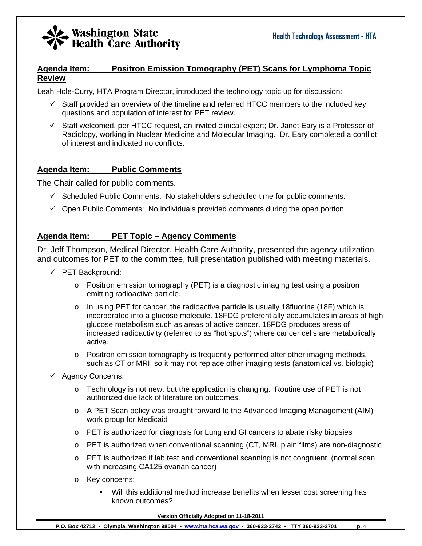

## **Agenda Item: Positron Emission Tomography (PET) Scans for Lymphoma Topic Review**

Leah Hole-Curry, HTA Program Director, introduced the technology topic up for discussion:

- $\checkmark$  Staff provided an overview of the timeline and referred HTCC members to the included key questions and population of interest for PET review.
- $\checkmark$  Staff welcomed, per HTCC request, an invited clinical expert; Dr. Janet Eary is a Professor of Radiology, working in Nuclear Medicine and Molecular Imaging. Dr. Eary completed a conflict of interest and indicated no conflicts.

### **Agenda Item: Public Comments**

The Chair called for public comments.

- $\checkmark$  Scheduled Public Comments: No stakeholders scheduled time for public comments.
- $\checkmark$  Open Public Comments: No individuals provided comments during the open portion.

### **Agenda Item: PET Topic – Agency Comments**

Dr. Jeff Thompson, Medical Director, Health Care Authority, presented the agency utilization and outcomes for PET to the committee, full presentation published with meeting materials.

- $\checkmark$  PET Background:
	- $\circ$  Positron emission tomography (PET) is a diagnostic imaging test using a positron emitting radioactive particle.
	- $\circ$  In using PET for cancer, the radioactive particle is usually 18 fluorine (18F) which is incorporated into a glucose molecule. 18FDG preferentially accumulates in areas of high glucose metabolism such as areas of active cancer. 18FDG produces areas of increased radioactivity (referred to as "hot spots") where cancer cells are metabolically active.
	- $\circ$  Positron emission tomography is frequently performed after other imaging methods, such as CT or MRI, so it may not replace other imaging tests (anatomical vs. biologic)
- $\checkmark$  Agency Concerns:
	- $\circ$  Technology is not new, but the application is changing. Routine use of PET is not authorized due lack of literature on outcomes.
	- $\circ$  A PET Scan policy was brought forward to the Advanced Imaging Management (AIM) work group for Medicaid
	- o PET is authorized for diagnosis for Lung and GI cancers to abate risky biopsies
	- $\circ$  PET is authorized when conventional scanning (CT, MRI, plain films) are non-diagnostic
	- o PET is authorized if lab test and conventional scanning is not congruent (normal scan with increasing CA125 ovarian cancer)
	- o Key concerns:
		- Will this additional method increase benefits when lesser cost screening has known outcomes?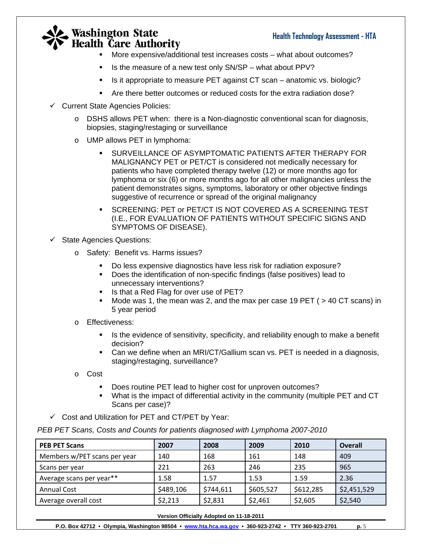- More expensive/additional test increases costs what about outcomes?
- $\blacksquare$  Is the measure of a new test only SN/SP what about PPV?
- Is it appropriate to measure PET against CT scan anatomic vs. biologic?
- Are there better outcomes or reduced costs for the extra radiation dose?
- $\checkmark$  Current State Agencies Policies:
	- o DSHS allows PET when: there is a Non-diagnostic conventional scan for diagnosis, biopsies, staging/restaging or surveillance
	- o UMP allows PET in lymphoma:
		- SURVEILLANCE OF ASYMPTOMATIC PATIENTS AFTER THERAPY FOR MALIGNANCY PET or PET/CT is considered not medically necessary for patients who have completed therapy twelve (12) or more months ago for lymphoma or six (6) or more months ago for all other malignancies unless the patient demonstrates signs, symptoms, laboratory or other objective findings suggestive of recurrence or spread of the original malignancy
		- SCREENING: PET or PET/CT IS NOT COVERED AS A SCREENING TEST (I.E., FOR EVALUATION OF PATIENTS WITHOUT SPECIFIC SIGNS AND SYMPTOMS OF DISEASE).

 $\checkmark$  State Agencies Questions:

- o Safety: Benefit vs. Harms issues?
	- Do less expensive diagnostics have less risk for radiation exposure?
	- Does the identification of non-specific findings (false positives) lead to unnecessary interventions?
	- Is that a Red Flag for over use of PET?
	- Mode was 1, the mean was 2, and the max per case 19 PET ( > 40 CT scans) in 5 year period
- o Effectiveness:
	- Is the evidence of sensitivity, specificity, and reliability enough to make a benefit decision?
	- Can we define when an MRI/CT/Gallium scan vs. PET is needed in a diagnosis, staging/restaging, surveillance?
- o Cost
	- Does routine PET lead to higher cost for unproven outcomes?
	- What is the impact of differential activity in the community (multiple PET and CT Scans per case)?
- $\checkmark$  Cost and Utilization for PET and CT/PET by Year:

*PEB PET Scans, Costs and Counts for patients diagnosed with Lymphoma 2007-2010* 

| <b>PEB PET Scans</b>         | 2007      | 2008      | 2009      | 2010      | <b>Overall</b> |
|------------------------------|-----------|-----------|-----------|-----------|----------------|
| Members w/PET scans per year | 140       | 168       | 161       | 148       | 409            |
| Scans per year               | 221       | 263       | 246       | 235       | 965            |
| Average scans per year**     | 1.58      | 1.57      | 1.53      | 1.59      | 2.36           |
| <b>Annual Cost</b>           | \$489,106 | \$744,611 | \$605,527 | \$612,285 | \$2,451,529    |
| Average overall cost         | \$2,213   | \$2,831   | \$2,461   | \$2,605   | \$2,540        |

#### **Version Officially Adopted on 11-18-2011**

P.O. Box 42712 • Olympia, Washington 98504 • www.hta.hca.wa.gov • 360-923-2742 • TTY 360-923-2701 p. 5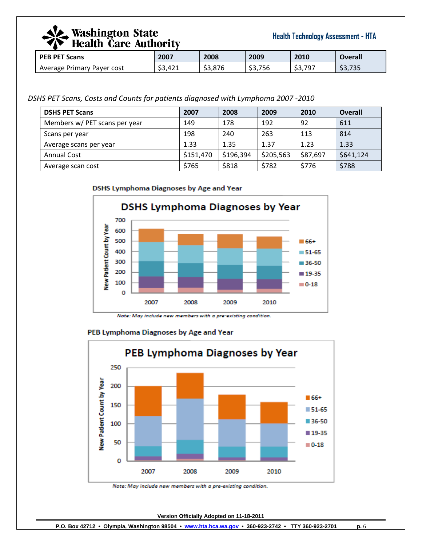

**Health Technology Assessment - HTA**

| 7 A 7<br><b>Health Gare Authority</b> |         |         |         |         |                |  |
|---------------------------------------|---------|---------|---------|---------|----------------|--|
| <b>PEB PET Scans</b>                  | 2007    | 2008    | 2009    | 2010    | <b>Overall</b> |  |
| Average Primary Payer cost            | \$3,421 | \$3,876 | \$3,756 | \$3,797 | \$3,735        |  |

*DSHS PET Scans, Costs and Counts for patients diagnosed with Lymphoma 2007 ‐2010*

| <b>DSHS PET Scans</b>         | 2007      | 2008      | 2009      | 2010     | Overall   |
|-------------------------------|-----------|-----------|-----------|----------|-----------|
| Members w/ PET scans per year | 149       | 178       | 192       | 92       | 611       |
| Scans per year                | 198       | 240       | 263       | 113      | 814       |
| Average scans per year        | 1.33      | 1.35      | 1.37      | 1.23     | 1.33      |
| <b>Annual Cost</b>            | \$151,470 | \$196,394 | \$205,563 | \$87,697 | \$641,124 |
| Average scan cost             | \$765     | \$818     | \$782     | \$776    | \$788     |





Note: May include new members with a pre-existing condition.



#### PEB Lymphoma Diagnoses by Age and Year

Note: May include new members with a pre-existing condition.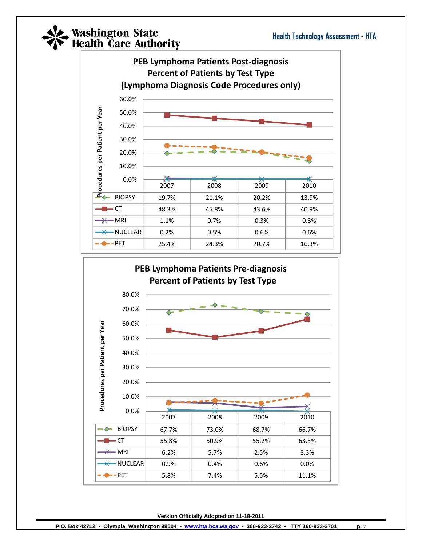

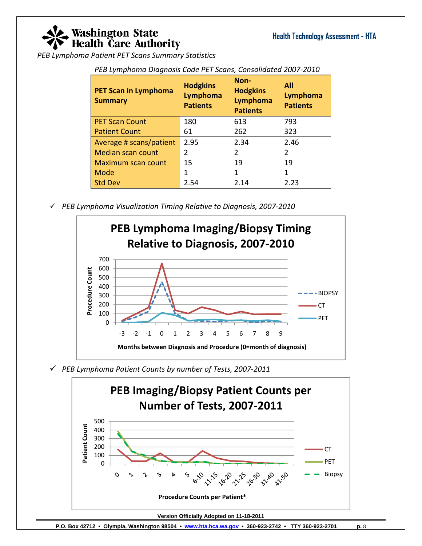

*PEB Lymphoma Patient PET Scans Summary Statistics*

| <b>PET Scan in Lymphoma</b><br><b>Summary</b> | <b>Hodgkins</b><br>Lymphoma<br><b>Patients</b> | Non-<br><b>Hodgkins</b><br>Lymphoma<br><b>Patients</b> | All<br>Lymphoma<br><b>Patients</b> |
|-----------------------------------------------|------------------------------------------------|--------------------------------------------------------|------------------------------------|
| <b>PET Scan Count</b>                         | 180                                            | 613                                                    | 793                                |
| <b>Patient Count</b>                          | 61                                             | 262                                                    | 323                                |
| Average # scans/patient                       | 2.95                                           | 2.34                                                   | 2.46                               |
| <b>Median scan count</b>                      | $\mathfrak{p}$                                 | 2                                                      | $\mathfrak z$                      |
| <b>Maximum scan count</b>                     | 15                                             | 19                                                     | 19                                 |
| Mode                                          | 1                                              |                                                        | 1                                  |
| <b>Std Dev</b>                                | 2.54                                           | 2.14                                                   | 2.23                               |

*PEB Lymphoma Diagnosis Code PET Scans, Consolidated 2007‐2010*

9 *PEB Lymphoma Visualization Timing Relative to Diagnosis, 2007‐2010*



9 *PEB Lymphoma Patient Counts by number of Tests, 2007‐2011*

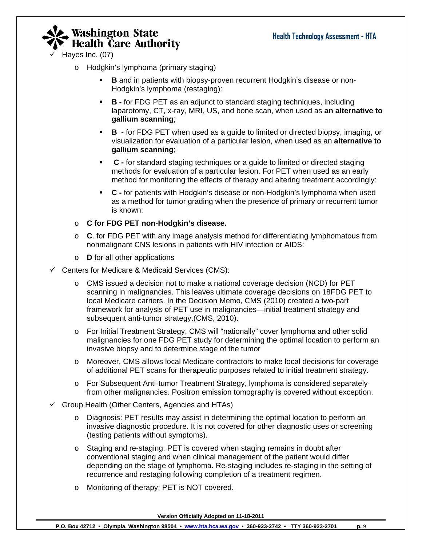

Hayes Inc. (07)

- o Hodgkin's lymphoma (primary staging)
	- **B** and in patients with biopsy-proven recurrent Hodgkin's disease or non-Hodgkin's lymphoma (restaging):
	- **B** for FDG PET as an adjunct to standard staging techniques, including laparotomy, CT, x-ray, MRI, US, and bone scan, when used as **an alternative to gallium scanning**;
	- **B** for FDG PET when used as a guide to limited or directed biopsy, imaging, or visualization for evaluation of a particular lesion, when used as an **alternative to gallium scanning**;
	- **C** for standard staging techniques or a guide to limited or directed staging methods for evaluation of a particular lesion. For PET when used as an early method for monitoring the effects of therapy and altering treatment accordingly:
	- **C** for patients with Hodgkin's disease or non-Hodgkin's lymphoma when used as a method for tumor grading when the presence of primary or recurrent tumor is known:
- o **C for FDG PET non-Hodgkin's disease.**
- o **C**. for FDG PET with any image analysis method for differentiating lymphomatous from nonmalignant CNS lesions in patients with HIV infection or AIDS:
- o **D** for all other applications
- $\checkmark$  Centers for Medicare & Medicaid Services (CMS):
	- $\circ$  CMS issued a decision not to make a national coverage decision (NCD) for PET scanning in malignancies. This leaves ultimate coverage decisions on 18FDG PET to local Medicare carriers. In the Decision Memo, CMS (2010) created a two‐part framework for analysis of PET use in malignancies—initial treatment strategy and subsequent anti-tumor strategy.(CMS, 2010).
	- o For Initial Treatment Strategy, CMS will "nationally" cover lymphoma and other solid malignancies for one FDG PET study for determining the optimal location to perform an invasive biopsy and to determine stage of the tumor
	- o Moreover, CMS allows local Medicare contractors to make local decisions for coverage of additional PET scans for therapeutic purposes related to initial treatment strategy.
	- o For Subsequent Anti‐tumor Treatment Strategy, lymphoma is considered separately from other malignancies. Positron emission tomography is covered without exception.
- $\checkmark$  Group Health (Other Centers, Agencies and HTAs)
	- o Diagnosis: PET results may assist in determining the optimal location to perform an invasive diagnostic procedure. It is not covered for other diagnostic uses or screening (testing patients without symptoms).
	- o Staging and re‐staging: PET is covered when staging remains in doubt after conventional staging and when clinical management of the patient would differ depending on the stage of lymphoma. Re‐staging includes re‐staging in the setting of recurrence and restaging following completion of a treatment regimen.
	- o Monitoring of therapy: PET is NOT covered.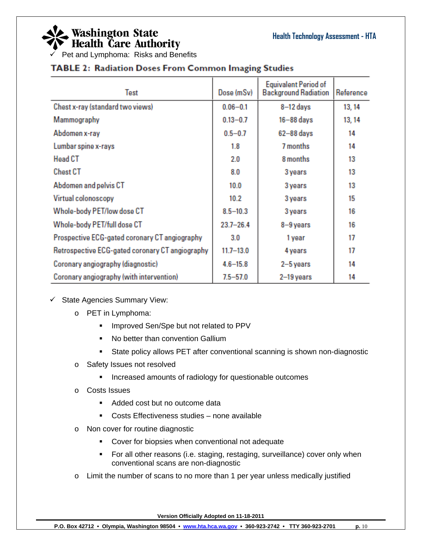$\sqrt{ }$  Pet and Lymphoma: Risks and Benefits

## **TABLE 2: Radiation Doses From Common Imaging Studies**

| Test                                            | Dose (mSv)    | <b>Equivalent Period of</b><br><b>Background Radiation</b> | Reference |
|-------------------------------------------------|---------------|------------------------------------------------------------|-----------|
| Chest x-ray (standard two views)                | $0.06 - 0.1$  | 8-12 days                                                  | 13, 14    |
| Mammography                                     | $0.13 - 0.7$  | 16-88 days                                                 | 13, 14    |
| Abdomen x-ray                                   | $0.5 - 0.7$   | 62-88 days                                                 | 14        |
| Lumbar spine x-rays                             | 1.8           | 7 months                                                   | 14        |
| <b>Head CT</b>                                  | 2.0           | 8 months                                                   | 13        |
| <b>Chest CT</b>                                 | 8.0           | 3 years                                                    | 13        |
| Abdomen and pelvis CT                           | 10.0          | 3 years                                                    | 13        |
| Virtual colonoscopy                             | 10.2          | 3 years                                                    | 15        |
| Whole-body PET/low dose CT                      | $8.5 - 10.3$  | 3 years                                                    | 16        |
| Whole-body PET/full dose CT                     | $23.7 - 26.4$ | 8-9 years                                                  | 16        |
| Prospective ECG-gated coronary CT angiography   | 3.0           | 1 year                                                     | 17        |
| Retrospective ECG-gated coronary CT angiography | $11.7 - 13.0$ | 4 years                                                    | 17        |
| Coronary angiography (diagnostic)               | $4.6 - 15.8$  | 2-5 years                                                  | 14        |
| Coronary angiography (with intervention)        | $7.5 - 57.0$  | 2-19 years                                                 | 14        |

 $\checkmark$  State Agencies Summary View:

- o PET in Lymphoma:
	- **IMPROVED Sen/Spe but not related to PPV**
	- No better than convention Gallium
	- State policy allows PET after conventional scanning is shown non-diagnostic
- o Safety Issues not resolved
	- **Increased amounts of radiology for questionable outcomes**
- o Costs Issues
	- Added cost but no outcome data
	- Costs Effectiveness studies none available
- o Non cover for routine diagnostic
	- **•** Cover for biopsies when conventional not adequate
	- For all other reasons (i.e. staging, restaging, surveillance) cover only when conventional scans are non-diagnostic
- o Limit the number of scans to no more than 1 per year unless medically justified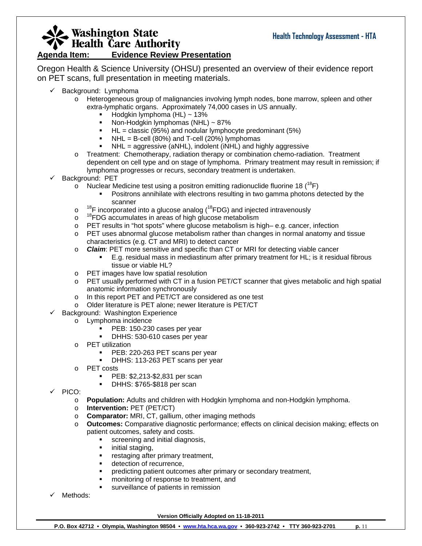

## **Agenda Item: Evidence Review Presentation**

Oregon Health & Science University (OHSU) presented an overview of their evidence report on PET scans, full presentation in meeting materials.

- $\checkmark$  Background: Lymphoma
	- o Heterogeneous group of malignancies involving lymph nodes, bone marrow, spleen and other extra-lymphatic organs. Approximately 74,000 cases in US annually.
		- Hodgkin lymphoma  $(HL) \sim 13\%$
		- Non-Hodgkin lymphomas (NHL)  $\sim$  87%
		- $HL =$  classic (95%) and nodular lymphocyte predominant (5%)
		- $NHL = B$ -cell (80%) and T-cell (20%) lymphomas
		- NHL = aggressive (aNHL), indolent (iNHL) and highly aggressive
	- o Treatment: Chemotherapy, radiation therapy or combination chemo-radiation. Treatment dependent on cell type and on stage of lymphoma. Primary treatment may result in remission; if lymphoma progresses or recurs, secondary treatment is undertaken.
- $\checkmark$  Background: PET
	- o Nuclear Medicine test using a positron emitting radionuclide fluorine 18 ( $^{18}F$ )
		- Positrons annihilate with electrons resulting in two gamma photons detected by the scanner
	- o  $18$ F incorporated into a glucose analog ( $18$ FDG) and injected intravenously
	- o <sup>18</sup>FDG accumulates in areas of high glucose metabolism
	- $\circ$  PET results in "hot spots" where glucose metabolism is high– e.g. cancer, infection
	- o PET uses abnormal glucose metabolism rather than changes in normal anatomy and tissue characteristics (e.g. CT and MRI) to detect cancer
	- o *Claim*: PET more sensitive and specific than CT or MRI for detecting viable cancer
		- E.g. residual mass in mediastinum after primary treatment for HL; is it residual fibrous tissue or viable HL?
	- o PET images have low spatial resolution
	- o PET usually performed with CT in a fusion PET/CT scanner that gives metabolic and high spatial anatomic information synchronously
	- o In this report PET and PET/CT are considered as one test
	- o Older literature is PET alone; newer literature is PET/CT
- Background: Washington Experience
	- o Lymphoma incidence
		- **PEB: 150-230 cases per year**
		- DHHS: 530-610 cases per year
	- o PET utilization
		- PEB: 220-263 PET scans per year
		- DHHS: 113-263 PET scans per year
	- o PET costs
		- **PEB: \$2,213-\$2,831 per scan**
		- DHHS: \$765-\$818 per scan
- $\checkmark$  PICO:
	- o **Population:** Adults and children with Hodgkin lymphoma and non-Hodgkin lymphoma.
	- o **Intervention:** PET (PET/CT)
	- o **Comparator:** MRI, CT, gallium, other imaging methods
	- o **Outcomes:** Comparative diagnostic performance; effects on clinical decision making; effects on patient outcomes, safety and costs.
		- **screening and initial diagnosis,**
		- **·** initial staging,
		- **Fig. 5** restaging after primary treatment,
		- **detection of recurrence,**
		- **PEDITION FIGHT DETECT FIGHTS IN THE PREDICT PROPERTY** predicting patient,
		- **n** monitoring of response to treatment, and
		- surveillance of patients in remission
- $\checkmark$  Methods: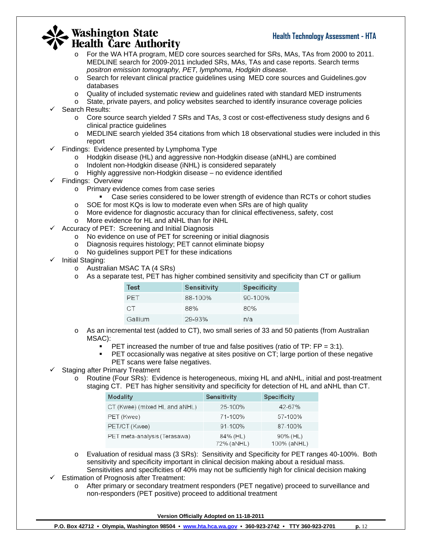#### **Health Technology Assessment - HTA**

## **Washington State**<br>Health Care Authority

- o For the WA HTA program, MED core sources searched for SRs, MAs, TAs from 2000 to 2011. MEDLINE search for 2009-2011 included SRs, MAs, TAs and case reports. Search terms *positron emission tomography, PET, lymphoma, Hodgkin disease.*
- o Search for relevant clinical practice guidelines using MED core sources and Guidelines.gov databases
- o Quality of included systematic review and guidelines rated with standard MED instruments
- o State, private payers, and policy websites searched to identify insurance coverage policies
- Search Results:
	- o Core source search yielded 7 SRs and TAs, 3 cost or cost-effectiveness study designs and 6 clinical practice guidelines
	- o MEDLINE search yielded 354 citations from which 18 observational studies were included in this report
- Findings: Evidence presented by Lymphoma Type
	- o Hodgkin disease (HL) and aggressive non-Hodgkin disease (aNHL) are combined
	- o Indolent non-Hodgkin disease (iNHL) is considered separately
	- o Highly aggressive non-Hodgkin disease no evidence identified
- $\checkmark$  Findings: Overview
	- o Primary evidence comes from case series
		- Case series considered to be lower strength of evidence than RCTs or cohort studies
	- o SOE for most KQs is low to moderate even when SRs are of high quality
	- o More evidence for diagnostic accuracy than for clinical effectiveness, safety, cost
	- o More evidence for HL and aNHL than for iNHL
- Accuracy of PET: Screening and Initial Diagnosis
	- o No evidence on use of PET for screening or initial diagnosis
	- o Diagnosis requires histology; PET cannot eliminate biopsy
	- o No guidelines support PET for these indications
- $\checkmark$  Initial Staging:
	- o Australian MSAC TA (4 SRs)
	- o As a separate test, PET has higher combined sensitivity and specificity than CT or gallium

| Test    | Sensitivity | <b>Specificity</b> |
|---------|-------------|--------------------|
| PFT.    | 88-100%     | $90 - 100\%$       |
| CT.     | 88%         | 80%                |
| Gallium | 29-93%      | n/a                |

- o As an incremental test (added to CT), two small series of 33 and 50 patients (from Australian MSAC):
	- PET increased the number of true and false positives (ratio of TP: FP = 3:1).
	- PET occasionally was negative at sites positive on CT; large portion of these negative PET scans were false negatives.
- **Staging after Primary Treatment** 
	- o Routine (Four SRs): Evidence is heterogeneous, mixing HL and aNHL, initial and post-treatment staging CT. PET has higher sensitivity and specificity for detection of HL and aNHL than CT.

| <b>Modality</b>               | Sensitivity            | <b>Specificity</b>      |
|-------------------------------|------------------------|-------------------------|
| CT (Kwee) (mixed HL and aNHL) | 25-100%                | 42-67%                  |
| PET (Kwee)                    | 71-100%                | 57-100%                 |
| PET/CT (Kwee)                 | $91 - 100\%$           | 87-100%                 |
| PET meta-analysis (Terasawa)  | 84% (HL)<br>72% (aNHL) | 90% (HL)<br>100% (aNHL) |

- o Evaluation of residual mass (3 SRs): Sensitivity and Specificity for PET ranges 40-100%. Both sensitivity and specificity important in clinical decision making about a residual mass. Sensitivities and specificities of 40% may not be sufficiently high for clinical decision making
- **Estimation of Prognosis after Treatment:** 
	- o After primary or secondary treatment responders (PET negative) proceed to surveillance and non-responders (PET positive) proceed to additional treatment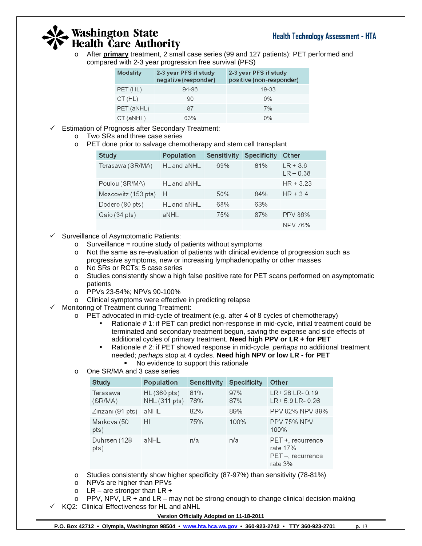### **Health Technology Assessment - HTA**

## Washington State<br>Health Care Authority

o After **primary** treatment, 2 small case series (99 and 127 patients): PET performed and compared with 2-3 year progression free survival (PFS)

| <b>Modality</b> | 2-3 year PFS if study<br>negative (responder) | 2-3 year PFS if study<br>positive (non-responder) |
|-----------------|-----------------------------------------------|---------------------------------------------------|
| PET (HL)        | $94 - 96$                                     | 19-33                                             |
| CT(HL)          | 90                                            | 0%                                                |
| PET (aNHL)      | 87                                            | 7%                                                |
| $CT$ (aNHL)     | 63%                                           | 0%                                                |

- $\checkmark$  Estimation of Prognosis after Secondary Treatment:
	- o Two SRs and three case series
	- o PET done prior to salvage chemotherapy and stem cell transplant

| Study               | Population  | Sensitivity | <b>Specificity</b> | <b>Other</b>             |
|---------------------|-------------|-------------|--------------------|--------------------------|
| Terasawa (SR/MA)    | HL and aNHL | 69%         | 81%                | $IR + 36$<br>$LR - 0.38$ |
| Poulou (SR/MA)      | HL and aNHL |             |                    | $HR + 3.23$              |
| Moscowitz (153 pts) | HL          | 50%         | 84%                | $HR + 34$                |
| Dodero (80 pts)     | HL and aNHL | 68%         | 63%                |                          |
| Qaio (34 pts)       | aNHL        | 75%         | 87%                | PPV 86%                  |
|                     |             |             |                    | NPV 76%                  |

- $\checkmark$  Surveillance of Asymptomatic Patients:
	- $\circ$  Surveillance = routine study of patients without symptoms
	- o Not the same as re-evaluation of patients with clinical evidence of progression such as progressive symptoms, new or increasing lymphadenopathy or other masses
	- o No SRs or RCTs; 5 case series
	- o Studies consistently show a high false positive rate for PET scans performed on asymptomatic patients
	- o PPVs 23-54%; NPVs 90-100%
	- o Clinical symptoms were effective in predicting relapse
- Monitoring of Treatment during Treatment:
	- $\circ$  PET advocated in mid-cycle of treatment (e.g. after 4 of 8 cycles of chemotherapy)
		- Rationale # 1: if PET can predict non-response in mid-cycle, initial treatment could be terminated and secondary treatment begun, saving the expense and side effects of additional cycles of primary treatment. **Need high PPV or LR + for PET**
		- Rationale # 2: if PET showed response in mid-cycle, *perhaps* no additional treatment needed; *perhaps* stop at 4 cycles. **Need high NPV or low LR - for PET**  No evidence to support this rationale
	- One SR/MA and 3 case series

| Study                | <b>Population</b>               | Sensitivity | <b>Specificity</b> | Other                                                          |
|----------------------|---------------------------------|-------------|--------------------|----------------------------------------------------------------|
| Terasawa<br>(SR/MA)  | $HL$ (360 pts)<br>NHL (311 pts) | 81%<br>78%  | 97%<br>87%         | $LR+28 LR-0.19$<br>$LR + 5.9$ $R - 0.26$                       |
| Zinzani (91 pts)     | aNHL                            | 82%         | 89%                | PPV 82% NPV 89%                                                |
| Markova (50<br>pts)  | HL.                             | 75%         | 100%               | <b>PPV 75% NPV</b><br>100%                                     |
| Duhrsen (128<br>pts) | aNHL                            | n/a         | n/a                | PET +, recurrence<br>rate 17%<br>PET-, recurrence<br>rate $3%$ |

o Studies consistently show higher specificity (87-97%) than sensitivity (78-81%)

- o NPVs are higher than PPVs
- $\circ$  LR are stronger than LR +
- $\circ$  PPV, NPV, LR + and LR may not be strong enough to change clinical decision making
- 9 KQ2: Clinical Effectiveness for HL and aNHL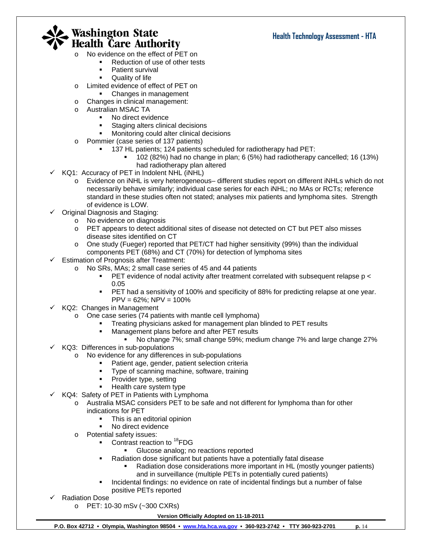

- o No evidence on the effect of PET on
	- Reduction of use of other tests
		- Patient survival
		- **•** Quality of life
- o Limited evidence of effect of PET on
	- Changes in management
- o Changes in clinical management:
- o Australian MSAC TA
	- No direct evidence
	- Staging alters clinical decisions
	- Monitoring could alter clinical decisions
- o Pommier (case series of 137 patients)
	- 137 HL patients; 124 patients scheduled for radiotherapy had PET:
		- 102 (82%) had no change in plan; 6 (5%) had radiotherapy cancelled; 16 (13%) had radiotherapy plan altered
- $\checkmark$  KQ1: Accuracy of PET in Indolent NHL (iNHL)
	- o Evidence on iNHL is very heterogeneous– different studies report on different iNHLs which do not necessarily behave similarly; individual case series for each iNHL; no MAs or RCTs; reference standard in these studies often not stated; analyses mix patients and lymphoma sites. Strength of evidence is LOW.
- $\checkmark$  Original Diagnosis and Staging:
	- o No evidence on diagnosis
	- o PET appears to detect additional sites of disease not detected on CT but PET also misses disease sites identified on CT
	- o One study (Fueger) reported that PET/CT had higher sensitivity (99%) than the individual components PET (68%) and CT (70%) for detection of lymphoma sites
- $\checkmark$  Estimation of Prognosis after Treatment:
	- o No SRs, MAs; 2 small case series of 45 and 44 patients
		- **PET** evidence of nodal activity after treatment correlated with subsequent relapse  $p <$ 0.05
		- **PET** had a sensitivity of 100% and specificity of 88% for predicting relapse at one year.  $PPV = 62\%$ ; NPV = 100%
- $\checkmark$  KQ2: Changes in Management
	- o One case series (74 patients with mantle cell lymphoma)
		- Treating physicians asked for management plan blinded to PET results
		- Management plans before and after PET results
	- No change 7%; small change 59%; medium change 7% and large change 27%
- $\checkmark$  KQ3: Differences in sub-populations
	- o No evidence for any differences in sub-populations
		- **Patient age, gender, patient selection criteria**
		- Type of scanning machine, software, training
		- Provider type, setting
		- Health care system type
- $\checkmark$  KQ4: Safety of PET in Patients with Lymphoma
	- o Australia MSAC considers PET to be safe and not different for lymphoma than for other indications for PET
		- This is an editorial opinion
		- No direct evidence
		- o Potential safety issues:
			- Contrast reaction to 18FDG
				- **Glucose analog; no reactions reported**
			- Radiation dose significant but patients have a potentially fatal disease
				- Radiation dose considerations more important in HL (mostly younger patients) and in surveillance (multiple PETs in potentially cured patients)
			- Incidental findings: no evidence on rate of incidental findings but a number of false positive PETs reported
- $\checkmark$  Radiation Dose
	- o PET: 10-30 mSv (~300 CXRs)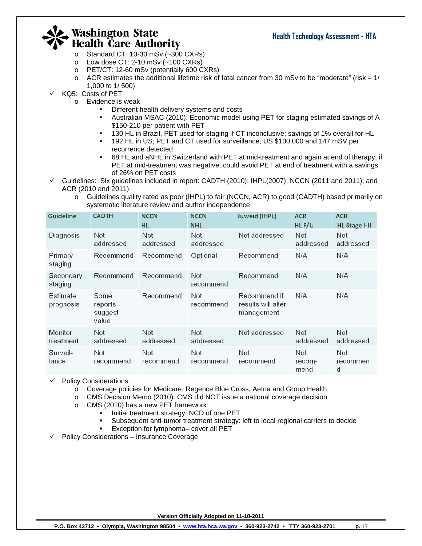- o Standard CT: 10-30 mSv (~300 CXRs)
- $\circ$  Low dose CT: 2-10 mSv (~100 CXRs)
- o PET/CT: 12-60 mSv (potentially 600 CXRs)
- $\circ$  ACR estimates the additional lifetime risk of fatal cancer from 30 mSv to be "moderate" (risk = 1/ 1,000 to 1/ 500)
- $\checkmark$  KQ5: Costs of PET
	- o Evidence is weak
		- Different health delivery systems and costs
		- Australian MSAC (2010). Economic model using PET for staging estimated savings of A \$150-210 per patient with PET
		- 130 HL in Brazil, PET used for staging if CT inconclusive; savings of 1% overall for HL
		- 192 HL in US; PET and CT used for surveillance; US \$100,000 and 147 mSV per recurrence detected
		- 68 HL and aNHL in Switzerland with PET at mid-treatment and again at end of therapy; if PET at mid-treatment was negative, could avoid PET at end of treatment with a savings of 26% on PET costs
- $\checkmark$  Guidelines: Six guidelines included in report: CADTH (2010); IHPL(2007); NCCN (2011 and 2011); and ACR (2010 and 2011)
	- o Guidelines quality rated as poor (IHPL) to fair (NCCN, ACR) to good (CADTH) based primarily on systematic literature review and author independence

| Guideline             | <b>CADTH</b>                        | <b>NCCN</b><br>HL       | <b>NCCN</b><br><b>NHL</b> | Juweid (IHPL)                                    | <b>ACR</b><br>$HL$ F/U  | <b>ACR</b><br><b>HL Stage I-II</b> |
|-----------------------|-------------------------------------|-------------------------|---------------------------|--------------------------------------------------|-------------------------|------------------------------------|
| Diagnosis             | <b>Not</b><br>addressed             | <b>Not</b><br>addressed | <b>Not</b><br>addressed   | Not addressed                                    | <b>Not</b><br>addressed | Not<br>addressed                   |
| Primary<br>staging    | Recommend                           | Recommend               | Optional                  | Recommend                                        | N/A                     | N/A                                |
| Secondary<br>staging  | Recommend                           | Recommend               | <b>Not</b><br>recommend   | Recommend                                        | N/A                     | N/A                                |
| Estimate<br>prognosis | Some<br>reports<br>suggest<br>value | Recommend               | Not<br>recommend          | Recommend if<br>results will alter<br>management | N/A                     | N/A                                |
| Monitor<br>treatment  | <b>Not</b><br>addressed             | <b>Not</b><br>addressed | <b>Not</b><br>addressed   | Not addressed                                    | <b>Not</b><br>addressed | <b>Not</b><br>addressed            |
| Surveil-<br>lance     | <b>Not</b><br>recommend             | Not<br>recommend        | Not<br>recommend          | Not<br>recommend                                 | Not<br>recom-<br>mend   | Not<br>recommen<br><sub>d</sub>    |

 $\checkmark$  Policy Considerations:

- o Coverage policies for Medicare, Regence Blue Cross, Aetna and Group Health
- o CMS Decision Memo (2010): CMS did NOT issue a national coverage decision
- o CMS (2010) has a new PET framework:
	- Initial treatment strategy: NCD of one PET
	- Subsequent anti-tumor treatment strategy: left to local regional carriers to decide
	- Exception for lymphoma– cover all PET
- $\checkmark$  Policy Considerations Insurance Coverage